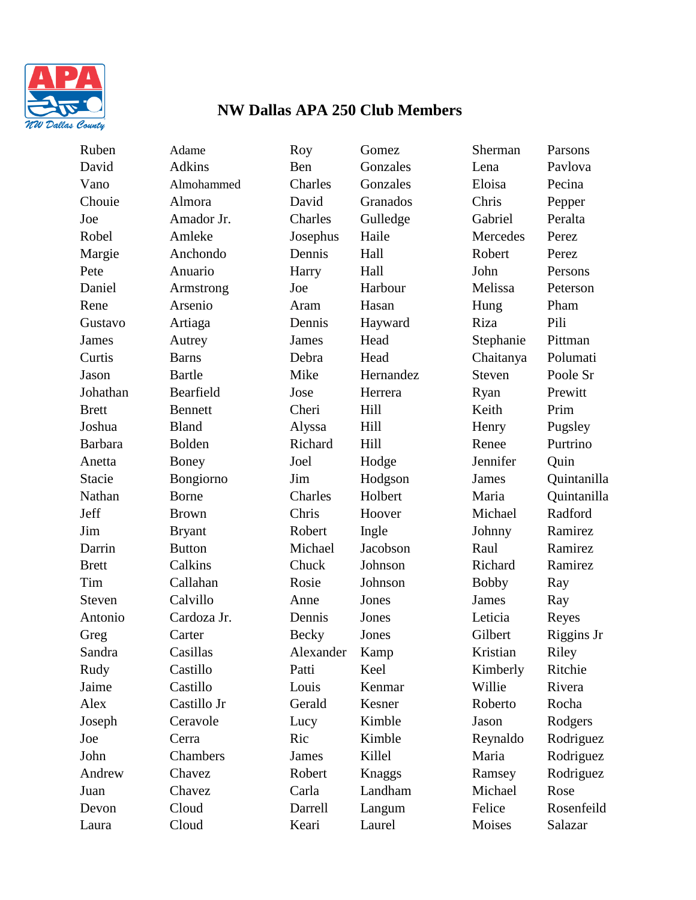

## **NW Dallas APA 250 Club Members**

Ruben Adame Roy Gomez Sherman Parsons David Adkins Ben Gonzales Lena Pavlova Vano Almohammed Charles Gonzales Eloisa Pecina Chouie Almora David Granados Chris Pepper Joe Amador Jr. Charles Gulledge Gabriel Peralta Robel Amleke Josephus Haile Mercedes Perez Margie Anchondo Dennis Hall Robert Perez Pete Anuario Harry Hall John Persons Daniel Armstrong Joe Harbour Melissa Peterson Rene Arsenio Aram Hasan Hung Pham Gustavo Artiaga Dennis Hayward Riza Pili James Autrey James Head Stephanie Pittman Curtis Barns Debra Head Chaitanya Polumati Jason Bartle Mike Hernandez Steven Poole Sr Johathan Bearfield Jose Herrera Ryan Prewitt Brett Bennett Cheri Hill Keith Prim Joshua Bland Alyssa Hill Henry Pugsley Barbara Bolden Richard Hill Renee Purtrino Anetta Boney Joel Hodge Jennifer Quin Jeff Brown Chris Hoover Michael Radford Jim Bryant Robert Ingle Johnny Ramirez Darrin Button Michael Jacobson Raul Ramirez Brett Calkins Chuck Johnson Richard Ramirez Tim Callahan Rosie Johnson Bobby Ray Steven Calvillo Anne Jones James Ray Antonio Cardoza Jr. Dennis Jones Leticia Reyes Sandra Casillas Alexander Kamp Kristian Riley Rudy Castillo Patti Keel Kimberly Ritchie Jaime Castillo Louis Kenmar Willie Rivera Alex Castillo Jr Gerald Kesner Roberto Rocha Joseph Ceravole Lucy Kimble Jason Rodgers Juan Chavez Carla Landham Michael Rose

Laura Cloud Keari Laurel Moises Salazar

Stacie Bongiorno Jim Hodgson James Quintanilla Nathan Borne Charles Holbert Maria Quintanilla Greg Carter Becky Jones Gilbert Riggins Jr Joe Cerra Ric Kimble Reynaldo Rodriguez John Chambers James Killel Maria Rodriguez Andrew Chavez Robert Knaggs Ramsey Rodriguez Devon Cloud Darrell Langum Felice Rosenfeild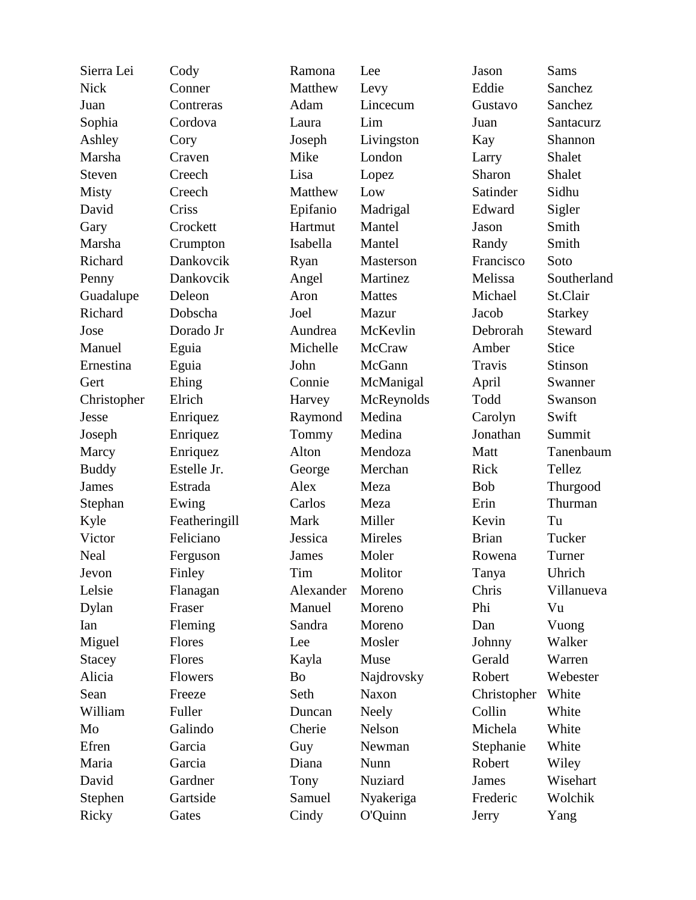| Sierra Lei    | Cody           | Ramona       | Lee           | Jason        | Sams           |
|---------------|----------------|--------------|---------------|--------------|----------------|
| <b>Nick</b>   | Conner         | Matthew      | Levy          | Eddie        | Sanchez        |
| Juan          | Contreras      | Adam         | Lincecum      | Gustavo      | Sanchez        |
| Sophia        | Cordova        | Laura        | Lim           | Juan         | Santacurz      |
| Ashley        | Cory           | Joseph       | Livingston    | Kay          | Shannon        |
| Marsha        | Craven         | Mike         | London        | Larry        | Shalet         |
| Steven        | Creech         | Lisa         | Lopez         | Sharon       | Shalet         |
| Misty         | Creech         | Matthew      | Low           | Satinder     | Sidhu          |
| David         | Criss          | Epifanio     | Madrigal      | Edward       | Sigler         |
| Gary          | Crockett       | Hartmut      | Mantel        | Jason        | Smith          |
| Marsha        | Crumpton       | Isabella     | Mantel        | Randy        | Smith          |
| Richard       | Dankovcik      | Ryan         | Masterson     | Francisco    | Soto           |
| Penny         | Dankovcik      | Angel        | Martinez      | Melissa      | Southerland    |
| Guadalupe     | Deleon         | Aron         | <b>Mattes</b> | Michael      | St.Clair       |
| Richard       | Dobscha        | Joel         | Mazur         | Jacob        | <b>Starkey</b> |
| Jose          | Dorado Jr      | Aundrea      | McKevlin      | Debrorah     | Steward        |
| Manuel        | Eguia          | Michelle     | McCraw        | Amber        | <b>Stice</b>   |
| Ernestina     | Eguia          | John         | McGann        | Travis       | Stinson        |
| Gert          | Ehing          | Connie       | McManigal     | April        | Swanner        |
| Christopher   | Elrich         | Harvey       | McReynolds    | Todd         | Swanson        |
| Jesse         | Enriquez       | Raymond      | Medina        | Carolyn      | Swift          |
| Joseph        | Enriquez       | Tommy        | Medina        | Jonathan     | Summit         |
| Marcy         | Enriquez       | Alton        | Mendoza       | Matt         | Tanenbaum      |
| <b>Buddy</b>  | Estelle Jr.    | George       | Merchan       | Rick         | Tellez         |
| <b>James</b>  | Estrada        | Alex         | Meza          | <b>Bob</b>   | Thurgood       |
| Stephan       | Ewing          | Carlos       | Meza          | Erin         | Thurman        |
| Kyle          | Featheringill  | Mark         | Miller        | Kevin        | Tu             |
| Victor        | Feliciano      | Jessica      | Mireles       | <b>Brian</b> | Tucker         |
| Neal          | Ferguson       | <b>James</b> | Moler         | Rowena       | Turner         |
| Jevon         | Finley         | Tim          | Molitor       | Tanya        | Uhrich         |
| Lelsie        | Flanagan       | Alexander    | Moreno        | Chris        | Villanueva     |
| Dylan         | Fraser         | Manuel       | Moreno        | Phi          | Vu             |
| Ian           | Fleming        | Sandra       | Moreno        | Dan          | Vuong          |
| Miguel        | Flores         | Lee          | Mosler        | Johnny       | Walker         |
| <b>Stacey</b> | Flores         | Kayla        | Muse          | Gerald       | Warren         |
| Alicia        | <b>Flowers</b> | Bo           | Najdrovsky    | Robert       | Webester       |
| Sean          | Freeze         | Seth         | <b>Naxon</b>  | Christopher  | White          |
| William       | Fuller         | Duncan       | <b>Neely</b>  | Collin       | White          |
| Mo            | Galindo        | Cherie       | Nelson        | Michela      | White          |
| Efren         | Garcia         | Guy          | Newman        | Stephanie    | White          |
| Maria         | Garcia         | Diana        | Nunn          | Robert       | Wiley          |
| David         | Gardner        | Tony         | Nuziard       | <b>James</b> | Wisehart       |
| Stephen       | Gartside       | Samuel       | Nyakeriga     | Frederic     | Wolchik        |
| Ricky         | Gates          | Cindy        | O'Quinn       | Jerry        | Yang           |
|               |                |              |               |              |                |